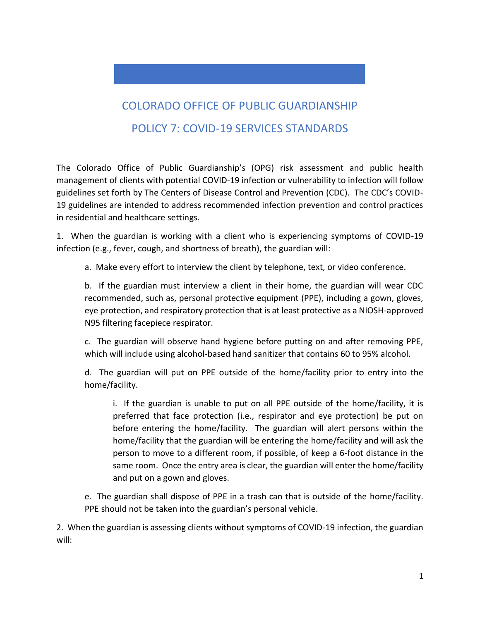## COLORADO OFFICE OF PUBLIC GUARDIANSHIP POLICY 7: COVID-19 SERVICES STANDARDS

The Colorado Office of Public Guardianship's (OPG) risk assessment and public health management of clients with potential COVID-19 infection or vulnerability to infection will follow guidelines set forth by The Centers of Disease Control and Prevention (CDC). The CDC's COVID-19 guidelines are intended to address recommended infection prevention and control practices in residential and healthcare settings.

1. When the guardian is working with a client who is experiencing symptoms of COVID-19 infection (e.g., fever, cough, and shortness of breath), the guardian will:

a. Make every effort to interview the client by telephone, text, or video conference.

b. If the guardian must interview a client in their home, the guardian will wear CDC recommended, such as, personal protective equipment (PPE), including a gown, gloves, eye protection, and respiratory protection that is at least protective as a NIOSH-approved N95 filtering facepiece respirator.

c. The guardian will observe hand hygiene before putting on and after removing PPE, which will include using alcohol-based hand sanitizer that contains 60 to 95% alcohol.

d. The guardian will put on PPE outside of the home/facility prior to entry into the home/facility.

i. If the guardian is unable to put on all PPE outside of the home/facility, it is preferred that face protection (i.e., respirator and eye protection) be put on before entering the home/facility. The guardian will alert persons within the home/facility that the guardian will be entering the home/facility and will ask the person to move to a different room, if possible, of keep a 6-foot distance in the same room. Once the entry area is clear, the guardian will enter the home/facility and put on a gown and gloves.

e. The guardian shall dispose of PPE in a trash can that is outside of the home/facility. PPE should not be taken into the guardian's personal vehicle.

2. When the guardian is assessing clients without symptoms of COVID-19 infection, the guardian will: